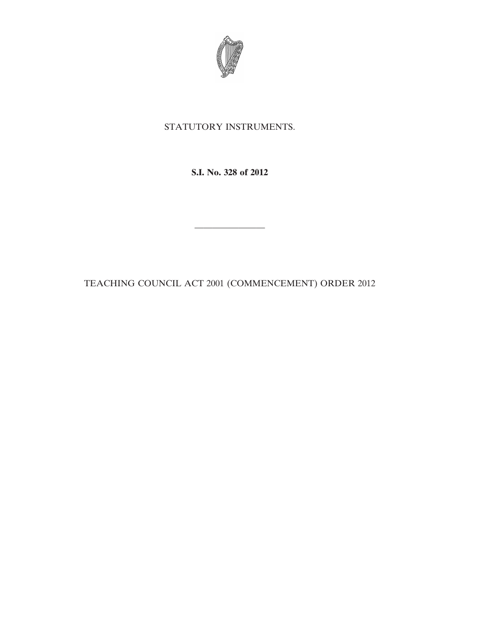

## STATUTORY INSTRUMENTS.

**S.I. No. 328 of 2012**

————————

TEACHING COUNCIL ACT 2001 (COMMENCEMENT) ORDER 2012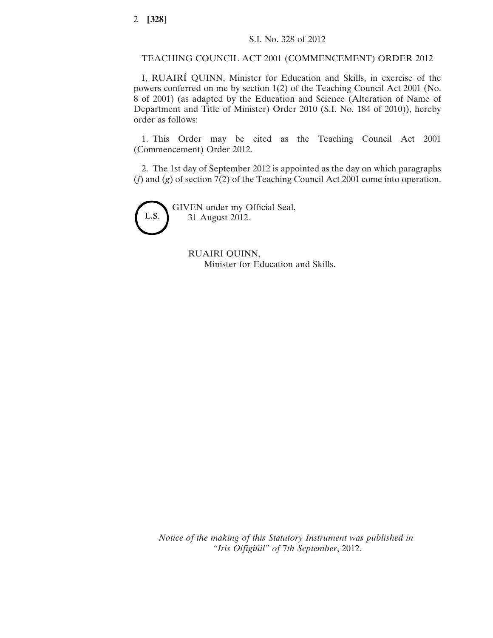TEACHING COUNCIL ACT 2001 (COMMENCEMENT) ORDER 2012

I, RUAIRÍ QUINN, Minister for Education and Skills, in exercise of the powers conferred on me by section 1(2) of the Teaching Council Act 2001 (No. 8 of 2001) (as adapted by the Education and Science (Alteration of Name of Department and Title of Minister) Order 2010 (S.I. No. 184 of 2010)), hereby order as follows:

1. This Order may be cited as the Teaching Council Act 2001 (Commencement) Order 2012.

2. The 1st day of September 2012 is appointed as the day on which paragraphs (*f*) and (*g*) of section 7(2) of the Teaching Council Act 2001 come into operation.



GIVEN under my Official Seal, 31 August 2012.

> RUAIRI QUINN, Minister for Education and Skills.

*Notice of the making of this Statutory Instrument was published in "Iris Oifigiúil" of* 7*th September*, 2012.